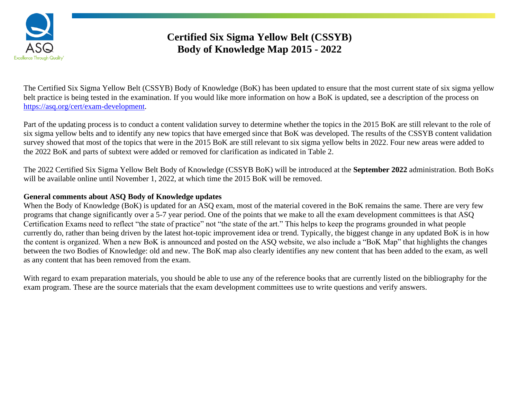

# **Certified Six Sigma Yellow Belt (CSSYB) Body of Knowledge Map 2015 - 2022**

The Certified Six Sigma Yellow Belt (CSSYB) Body of Knowledge (BoK) has been updated to ensure that the most current state of six sigma yellow belt practice is being tested in the examination. If you would like more information on how a BoK is updated, see a description of the process on [https://asq.org/cert/exam-development.](https://asq.org/cert/exam-development)

Part of the updating process is to conduct a content validation survey to determine whether the topics in the 2015 BoK are still relevant to the role of six sigma yellow belts and to identify any new topics that have emerged since that BoK was developed. The results of the CSSYB content validation survey showed that most of the topics that were in the 2015 BoK are still relevant to six sigma yellow belts in 2022. Four new areas were added to the 2022 BoK and parts of subtext were added or removed for clarification as indicated in Table 2.

The 2022 Certified Six Sigma Yellow Belt Body of Knowledge (CSSYB BoK) will be introduced at the **September 2022** administration. Both BoKs will be available online until November 1, 2022, at which time the 2015 BoK will be removed.

#### **General comments about ASQ Body of Knowledge updates**

When the Body of Knowledge (BoK) is updated for an ASQ exam, most of the material covered in the BoK remains the same. There are very few programs that change significantly over a 5-7 year period. One of the points that we make to all the exam development committees is that ASQ Certification Exams need to reflect "the state of practice" not "the state of the art." This helps to keep the programs grounded in what people currently do, rather than being driven by the latest hot-topic improvement idea or trend. Typically, the biggest change in any updated BoK is in how the content is organized. When a new BoK is announced and posted on the ASQ website, we also include a "BoK Map" that highlights the changes between the two Bodies of Knowledge: old and new. The BoK map also clearly identifies any new content that has been added to the exam, as well as any content that has been removed from the exam.

With regard to exam preparation materials, you should be able to use any of the reference books that are currently listed on the bibliography for the exam program. These are the source materials that the exam development committees use to write questions and verify answers.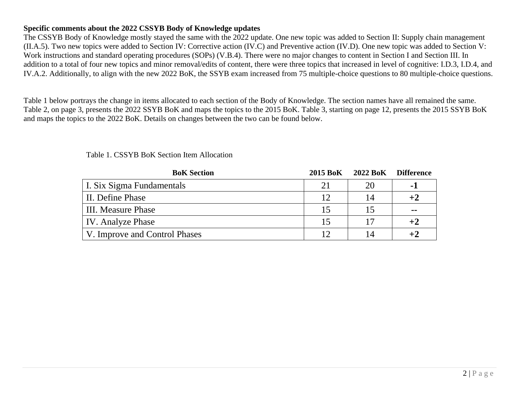#### **Specific comments about the 2022 CSSYB Body of Knowledge updates**

The CSSYB Body of Knowledge mostly stayed the same with the 2022 update. One new topic was added to Section II: Supply chain management (II.A.5). Two new topics were added to Section IV: Corrective action (IV.C) and Preventive action (IV.D). One new topic was added to Section V: Work instructions and standard operating procedures (SOPs) (V.B.4). There were no major changes to content in Section I and Section III. In addition to a total of four new topics and minor removal/edits of content, there were three topics that increased in level of cognitive: I.D.3, I.D.4, and IV.A.2. Additionally, to align with the new 2022 BoK, the SSYB exam increased from 75 multiple-choice questions to 80 multiple-choice questions.

Table 1 below portrays the change in items allocated to each section of the Body of Knowledge. The section names have all remained the same. Table 2, on page 3, presents the 2022 SSYB BoK and maps the topics to the 2015 BoK. Table 3, starting on page 12, presents the 2015 SSYB BoK and maps the topics to the 2022 BoK. Details on changes between the two can be found below.

| <b>BoK</b> Section            | 2015 BoK | 2022 BoK Difference |         |
|-------------------------------|----------|---------------------|---------|
| I. Six Sigma Fundamentals     | 21       | 20                  | $-1$    |
| II. Define Phase              | 12       | 14                  | $+2$    |
| III. Measure Phase            | 15       |                     | $-$     |
| <b>IV.</b> Analyze Phase      | 15       | 17                  | $+2$    |
| V. Improve and Control Phases |          |                     | $^{+2}$ |

Table 1. CSSYB BoK Section Item Allocation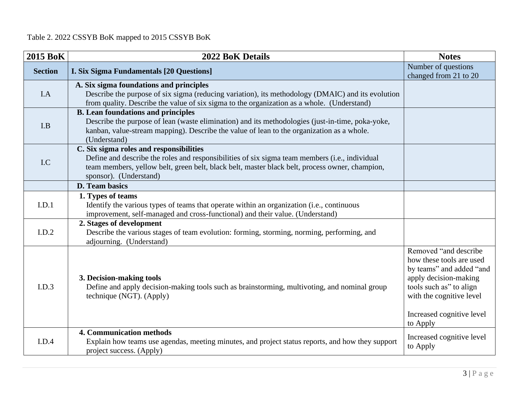## Table 2. 2022 CSSYB BoK mapped to 2015 CSSYB BoK

| <b>2015 BoK</b> | 2022 BoK Details                                                                                                                                                                                                                                                      | <b>Notes</b>                                                                                                                                                                                            |
|-----------------|-----------------------------------------------------------------------------------------------------------------------------------------------------------------------------------------------------------------------------------------------------------------------|---------------------------------------------------------------------------------------------------------------------------------------------------------------------------------------------------------|
| <b>Section</b>  | <b>I. Six Sigma Fundamentals [20 Questions]</b>                                                                                                                                                                                                                       | Number of questions<br>changed from 21 to 20                                                                                                                                                            |
| I.A             | A. Six sigma foundations and principles<br>Describe the purpose of six sigma (reducing variation), its methodology (DMAIC) and its evolution<br>from quality. Describe the value of six sigma to the organization as a whole. (Understand)                            |                                                                                                                                                                                                         |
| I.B             | <b>B.</b> Lean foundations and principles<br>Describe the purpose of lean (waste elimination) and its methodologies (just-in-time, poka-yoke,<br>kanban, value-stream mapping). Describe the value of lean to the organization as a whole.<br>(Understand)            |                                                                                                                                                                                                         |
| I.C             | C. Six sigma roles and responsibilities<br>Define and describe the roles and responsibilities of six sigma team members (i.e., individual<br>team members, yellow belt, green belt, black belt, master black belt, process owner, champion,<br>sponsor). (Understand) |                                                                                                                                                                                                         |
|                 | D. Team basics                                                                                                                                                                                                                                                        |                                                                                                                                                                                                         |
| I.D.1           | 1. Types of teams<br>Identify the various types of teams that operate within an organization (i.e., continuous<br>improvement, self-managed and cross-functional) and their value. (Understand)                                                                       |                                                                                                                                                                                                         |
| I.D.2           | 2. Stages of development<br>Describe the various stages of team evolution: forming, storming, norming, performing, and<br>adjourning. (Understand)                                                                                                                    |                                                                                                                                                                                                         |
| I.D.3           | 3. Decision-making tools<br>Define and apply decision-making tools such as brainstorming, multivoting, and nominal group<br>technique (NGT). (Apply)                                                                                                                  | Removed "and describe"<br>how these tools are used<br>by teams" and added "and<br>apply decision-making<br>tools such as" to align<br>with the cognitive level<br>Increased cognitive level<br>to Apply |
| I.D.4           | <b>4. Communication methods</b><br>Explain how teams use agendas, meeting minutes, and project status reports, and how they support<br>project success. (Apply)                                                                                                       | Increased cognitive level<br>to Apply                                                                                                                                                                   |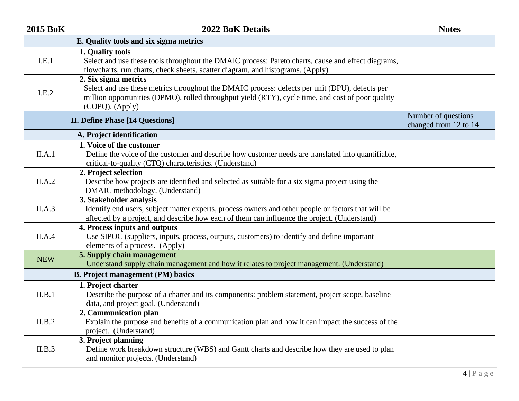| <b>2015 BoK</b> | 2022 BoK Details                                                                                                                                                                                                                               | <b>Notes</b>                                 |
|-----------------|------------------------------------------------------------------------------------------------------------------------------------------------------------------------------------------------------------------------------------------------|----------------------------------------------|
|                 | E. Quality tools and six sigma metrics                                                                                                                                                                                                         |                                              |
| I.E.1           | 1. Quality tools<br>Select and use these tools throughout the DMAIC process: Pareto charts, cause and effect diagrams,<br>flowcharts, run charts, check sheets, scatter diagram, and histograms. (Apply)                                       |                                              |
| I.E.2           | 2. Six sigma metrics<br>Select and use these metrics throughout the DMAIC process: defects per unit (DPU), defects per<br>million opportunities (DPMO), rolled throughput yield (RTY), cycle time, and cost of poor quality<br>(COPQ). (Apply) |                                              |
|                 | <b>II. Define Phase [14 Questions]</b>                                                                                                                                                                                                         | Number of questions<br>changed from 12 to 14 |
|                 | A. Project identification                                                                                                                                                                                                                      |                                              |
| II.A.1          | 1. Voice of the customer<br>Define the voice of the customer and describe how customer needs are translated into quantifiable,<br>critical-to-quality (CTQ) characteristics. (Understand)                                                      |                                              |
| II.A.2          | 2. Project selection<br>Describe how projects are identified and selected as suitable for a six sigma project using the<br>DMAIC methodology. (Understand)                                                                                     |                                              |
| II.A.3          | 3. Stakeholder analysis<br>Identify end users, subject matter experts, process owners and other people or factors that will be<br>affected by a project, and describe how each of them can influence the project. (Understand)                 |                                              |
| II.A.4          | 4. Process inputs and outputs<br>Use SIPOC (suppliers, inputs, process, outputs, customers) to identify and define important<br>elements of a process. (Apply)                                                                                 |                                              |
| <b>NEW</b>      | 5. Supply chain management<br>Understand supply chain management and how it relates to project management. (Understand)                                                                                                                        |                                              |
|                 | <b>B. Project management (PM) basics</b>                                                                                                                                                                                                       |                                              |
| II.B.1          | 1. Project charter<br>Describe the purpose of a charter and its components: problem statement, project scope, baseline<br>data, and project goal. (Understand)                                                                                 |                                              |
| II.B.2          | 2. Communication plan<br>Explain the purpose and benefits of a communication plan and how it can impact the success of the<br>project. (Understand)                                                                                            |                                              |
| II.B.3          | 3. Project planning<br>Define work breakdown structure (WBS) and Gantt charts and describe how they are used to plan<br>and monitor projects. (Understand)                                                                                     |                                              |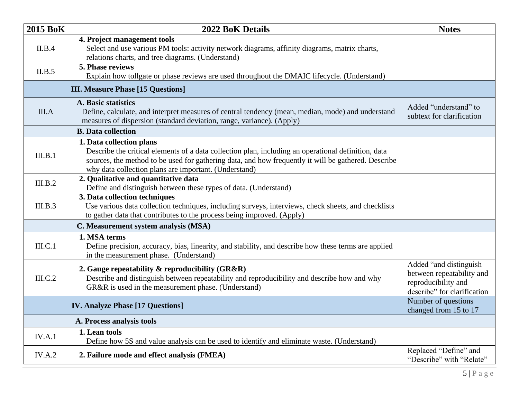| <b>2015 BoK</b> | 2022 BoK Details                                                                                                                                                                                                                                                                                | <b>Notes</b>                                                                                              |
|-----------------|-------------------------------------------------------------------------------------------------------------------------------------------------------------------------------------------------------------------------------------------------------------------------------------------------|-----------------------------------------------------------------------------------------------------------|
| II.B.4          | 4. Project management tools<br>Select and use various PM tools: activity network diagrams, affinity diagrams, matrix charts,<br>relations charts, and tree diagrams. (Understand)                                                                                                               |                                                                                                           |
| II.B.5          | 5. Phase reviews<br>Explain how tollgate or phase reviews are used throughout the DMAIC lifecycle. (Understand)                                                                                                                                                                                 |                                                                                                           |
|                 | <b>III. Measure Phase [15 Questions]</b>                                                                                                                                                                                                                                                        |                                                                                                           |
| III.A           | <b>A. Basic statistics</b><br>Define, calculate, and interpret measures of central tendency (mean, median, mode) and understand<br>measures of dispersion (standard deviation, range, variance). (Apply)                                                                                        | Added "understand" to<br>subtext for clarification                                                        |
|                 | <b>B.</b> Data collection                                                                                                                                                                                                                                                                       |                                                                                                           |
| III.B.1         | 1. Data collection plans<br>Describe the critical elements of a data collection plan, including an operational definition, data<br>sources, the method to be used for gathering data, and how frequently it will be gathered. Describe<br>why data collection plans are important. (Understand) |                                                                                                           |
| III.B.2         | 2. Qualitative and quantitative data<br>Define and distinguish between these types of data. (Understand)                                                                                                                                                                                        |                                                                                                           |
| III.B.3         | 3. Data collection techniques<br>Use various data collection techniques, including surveys, interviews, check sheets, and checklists<br>to gather data that contributes to the process being improved. (Apply)                                                                                  |                                                                                                           |
|                 | C. Measurement system analysis (MSA)                                                                                                                                                                                                                                                            |                                                                                                           |
| III.C.1         | 1. MSA terms<br>Define precision, accuracy, bias, linearity, and stability, and describe how these terms are applied<br>in the measurement phase. (Understand)                                                                                                                                  |                                                                                                           |
| III.C.2         | 2. Gauge repeatability $\&$ reproducibility (GR&R)<br>Describe and distinguish between repeatability and reproducibility and describe how and why<br>GR&R is used in the measurement phase. (Understand)                                                                                        | Added "and distinguish<br>between repeatability and<br>reproducibility and<br>describe" for clarification |
|                 | <b>IV. Analyze Phase [17 Questions]</b>                                                                                                                                                                                                                                                         | Number of questions<br>changed from 15 to 17                                                              |
|                 | A. Process analysis tools                                                                                                                                                                                                                                                                       |                                                                                                           |
| IV.A.1          | 1. Lean tools<br>Define how 5S and value analysis can be used to identify and eliminate waste. (Understand)                                                                                                                                                                                     |                                                                                                           |
| IV.A.2          | 2. Failure mode and effect analysis (FMEA)                                                                                                                                                                                                                                                      | Replaced "Define" and<br>"Describe" with "Relate"                                                         |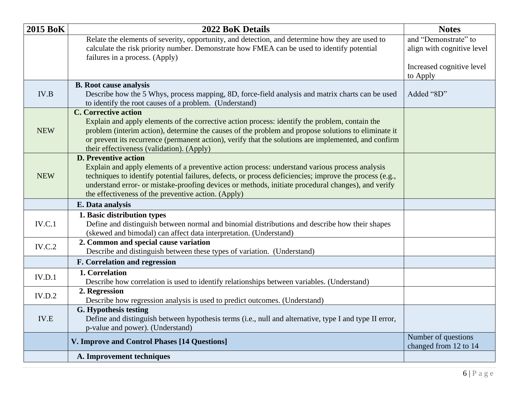| <b>2015 BoK</b> | <b>2022 BoK Details</b>                                                                                                                                                                                                                                                                                                                                                                               | <b>Notes</b>                                       |
|-----------------|-------------------------------------------------------------------------------------------------------------------------------------------------------------------------------------------------------------------------------------------------------------------------------------------------------------------------------------------------------------------------------------------------------|----------------------------------------------------|
|                 | Relate the elements of severity, opportunity, and detection, and determine how they are used to<br>calculate the risk priority number. Demonstrate how FMEA can be used to identify potential<br>failures in a process. (Apply)                                                                                                                                                                       | and "Demonstrate" to<br>align with cognitive level |
|                 |                                                                                                                                                                                                                                                                                                                                                                                                       | Increased cognitive level<br>to Apply              |
| IV.B            | <b>B.</b> Root cause analysis<br>Describe how the 5 Whys, process mapping, 8D, force-field analysis and matrix charts can be used<br>to identify the root causes of a problem. (Understand)                                                                                                                                                                                                           | Added "8D"                                         |
| <b>NEW</b>      | <b>C.</b> Corrective action<br>Explain and apply elements of the corrective action process: identify the problem, contain the<br>problem (interim action), determine the causes of the problem and propose solutions to eliminate it<br>or prevent its recurrence (permanent action), verify that the solutions are implemented, and confirm<br>their effectiveness (validation). (Apply)             |                                                    |
| <b>NEW</b>      | <b>D. Preventive action</b><br>Explain and apply elements of a preventive action process: understand various process analysis<br>techniques to identify potential failures, defects, or process deficiencies; improve the process (e.g.,<br>understand error- or mistake-proofing devices or methods, initiate procedural changes), and verify<br>the effectiveness of the preventive action. (Apply) |                                                    |
|                 | E. Data analysis                                                                                                                                                                                                                                                                                                                                                                                      |                                                    |
| IV.C.1          | 1. Basic distribution types<br>Define and distinguish between normal and binomial distributions and describe how their shapes<br>(skewed and bimodal) can affect data interpretation. (Understand)                                                                                                                                                                                                    |                                                    |
| IV.C.2          | 2. Common and special cause variation<br>Describe and distinguish between these types of variation. (Understand)                                                                                                                                                                                                                                                                                      |                                                    |
|                 | <b>F. Correlation and regression</b>                                                                                                                                                                                                                                                                                                                                                                  |                                                    |
| IV.D.1          | 1. Correlation<br>Describe how correlation is used to identify relationships between variables. (Understand)                                                                                                                                                                                                                                                                                          |                                                    |
| IV.D.2          | 2. Regression<br>Describe how regression analysis is used to predict outcomes. (Understand)                                                                                                                                                                                                                                                                                                           |                                                    |
| IV.E            | <b>G.</b> Hypothesis testing<br>Define and distinguish between hypothesis terms (i.e., null and alternative, type I and type II error,<br>p-value and power). (Understand)                                                                                                                                                                                                                            |                                                    |
|                 | V. Improve and Control Phases [14 Questions]                                                                                                                                                                                                                                                                                                                                                          | Number of questions<br>changed from 12 to 14       |
|                 | A. Improvement techniques                                                                                                                                                                                                                                                                                                                                                                             |                                                    |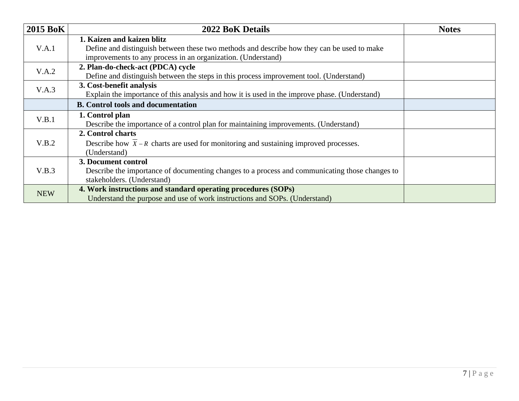| <b>2015 BoK</b> | <b>2022 BoK Details</b>                                                                           | <b>Notes</b> |
|-----------------|---------------------------------------------------------------------------------------------------|--------------|
|                 | 1. Kaizen and kaizen blitz                                                                        |              |
| V.A.1           | Define and distinguish between these two methods and describe how they can be used to make        |              |
|                 | improvements to any process in an organization. (Understand)                                      |              |
| V.A.2           | 2. Plan-do-check-act (PDCA) cycle                                                                 |              |
|                 | Define and distinguish between the steps in this process improvement tool. (Understand)           |              |
| V.A.3           | 3. Cost-benefit analysis                                                                          |              |
|                 | Explain the importance of this analysis and how it is used in the improve phase. (Understand)     |              |
|                 | <b>B.</b> Control tools and documentation                                                         |              |
| V.B.1           | 1. Control plan                                                                                   |              |
|                 | Describe the importance of a control plan for maintaining improvements. (Understand)              |              |
|                 | 2. Control charts                                                                                 |              |
| V.B.2           | Describe how $\overline{X}$ – R charts are used for monitoring and sustaining improved processes. |              |
|                 | (Understand)                                                                                      |              |
|                 | 3. Document control                                                                               |              |
| V.B.3           | Describe the importance of documenting changes to a process and communicating those changes to    |              |
|                 | stakeholders. (Understand)                                                                        |              |
| <b>NEW</b>      | 4. Work instructions and standard operating procedures (SOPs)                                     |              |
|                 | Understand the purpose and use of work instructions and SOPs. (Understand)                        |              |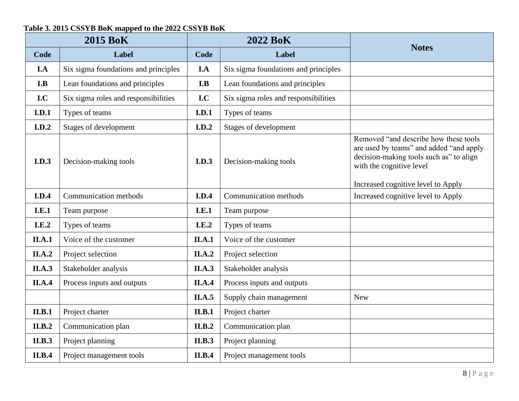### **Table 3. 2015 CSSYB BoK mapped to the 2022 CSSYB BoK**

| <b>2015 BoK</b> |                                      | <b>2022 BoK</b> |                                      |                                                                                                                                                                                               |
|-----------------|--------------------------------------|-----------------|--------------------------------------|-----------------------------------------------------------------------------------------------------------------------------------------------------------------------------------------------|
| Code            | Label                                | Code            | Label                                | <b>Notes</b>                                                                                                                                                                                  |
| I.A             | Six sigma foundations and principles | I.A             | Six sigma foundations and principles |                                                                                                                                                                                               |
| I.B             | Lean foundations and principles      | I.B             | Lean foundations and principles      |                                                                                                                                                                                               |
| I.C             | Six sigma roles and responsibilities | I.C             | Six sigma roles and responsibilities |                                                                                                                                                                                               |
| I.D.1           | Types of teams                       | I.D.1           | Types of teams                       |                                                                                                                                                                                               |
| I.D.2           | Stages of development                | I.D.2           | Stages of development                |                                                                                                                                                                                               |
| I.D.3           | Decision-making tools                | <b>I.D.3</b>    | Decision-making tools                | Removed "and describe how these tools<br>are used by teams" and added "and apply<br>decision-making tools such as" to align<br>with the cognitive level<br>Increased cognitive level to Apply |
| I.D.4           | Communication methods                | I.D.4           | Communication methods                | Increased cognitive level to Apply                                                                                                                                                            |
| <b>I.E.1</b>    | Team purpose                         | <b>I.E.1</b>    | Team purpose                         |                                                                                                                                                                                               |
| I.E.2           | Types of teams                       | I.E.2           | Types of teams                       |                                                                                                                                                                                               |
| II.A.1          | Voice of the customer                | II.A.1          | Voice of the customer                |                                                                                                                                                                                               |
| II.A.2          | Project selection                    | <b>II.A.2</b>   | Project selection                    |                                                                                                                                                                                               |
| <b>II.A.3</b>   | Stakeholder analysis                 | <b>II.A.3</b>   | Stakeholder analysis                 |                                                                                                                                                                                               |
| <b>II.A.4</b>   | Process inputs and outputs           | <b>II.A.4</b>   | Process inputs and outputs           |                                                                                                                                                                                               |
|                 |                                      | <b>II.A.5</b>   | Supply chain management              | <b>New</b>                                                                                                                                                                                    |
| II.B.1          | Project charter                      | II.B.1          | Project charter                      |                                                                                                                                                                                               |
| II.B.2          | Communication plan                   | II.B.2          | Communication plan                   |                                                                                                                                                                                               |
| <b>II.B.3</b>   | Project planning                     | <b>II.B.3</b>   | Project planning                     |                                                                                                                                                                                               |
| II.B.4          | Project management tools             | <b>II.B.4</b>   | Project management tools             |                                                                                                                                                                                               |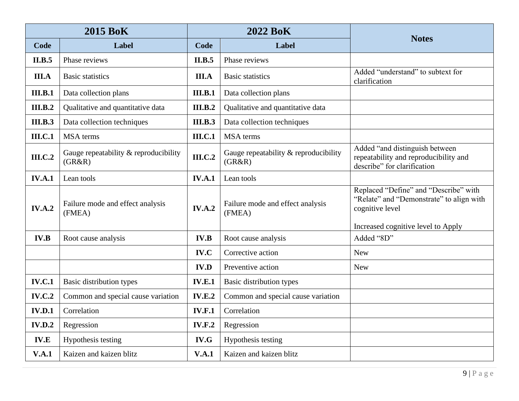| <b>2015 BoK</b> |                                                 | <b>2022 BoK</b> |                                                 |                                                                                                        |
|-----------------|-------------------------------------------------|-----------------|-------------------------------------------------|--------------------------------------------------------------------------------------------------------|
| Code            | Label                                           | Code            | Label                                           | <b>Notes</b>                                                                                           |
| II.B.5          | Phase reviews                                   | II.B.5          | Phase reviews                                   |                                                                                                        |
| <b>III.A</b>    | <b>Basic statistics</b>                         | <b>III.A</b>    | <b>Basic statistics</b>                         | Added "understand" to subtext for<br>clarification                                                     |
| <b>III.B.1</b>  | Data collection plans                           | <b>III.B.1</b>  | Data collection plans                           |                                                                                                        |
| <b>III.B.2</b>  | Qualitative and quantitative data               | <b>III.B.2</b>  | Qualitative and quantitative data               |                                                                                                        |
| <b>III.B.3</b>  | Data collection techniques                      | <b>III.B.3</b>  | Data collection techniques                      |                                                                                                        |
| <b>III.C.1</b>  | <b>MSA</b> terms                                | <b>III.C.1</b>  | <b>MSA</b> terms                                |                                                                                                        |
| <b>III.C.2</b>  | Gauge repeatability & reproducibility<br>(GR&R) | <b>III.C.2</b>  | Gauge repeatability & reproducibility<br>(GR&R) | Added "and distinguish between<br>repeatability and reproducibility and<br>describe" for clarification |
| <b>IV.A.1</b>   | Lean tools                                      | <b>IV.A.1</b>   | Lean tools                                      |                                                                                                        |
| IV.A.2          | Failure mode and effect analysis<br>(FMEA)      | IV.A.2          | Failure mode and effect analysis<br>(FMEA)      | Replaced "Define" and "Describe" with<br>"Relate" and "Demonstrate" to align with<br>cognitive level   |
|                 |                                                 |                 |                                                 | Increased cognitive level to Apply                                                                     |
| <b>IV.B</b>     | Root cause analysis                             | <b>IV.B</b>     | Root cause analysis                             | Added "8D"                                                                                             |
|                 |                                                 | IV.C            | Corrective action                               | <b>New</b>                                                                                             |
|                 |                                                 | <b>IV.D</b>     | Preventive action                               | <b>New</b>                                                                                             |
| <b>IV.C.1</b>   | Basic distribution types                        | <b>IV.E.1</b>   | Basic distribution types                        |                                                                                                        |
| <b>IV.C.2</b>   | Common and special cause variation              | <b>IV.E.2</b>   | Common and special cause variation              |                                                                                                        |
| <b>IV.D.1</b>   | Correlation                                     | <b>IV.F.1</b>   | Correlation                                     |                                                                                                        |
| <b>IV.D.2</b>   | Regression                                      | <b>IV.F.2</b>   | Regression                                      |                                                                                                        |
| <b>IV.E</b>     | Hypothesis testing                              | IV.G            | Hypothesis testing                              |                                                                                                        |
| V.A.1           | Kaizen and kaizen blitz                         | V.A.1           | Kaizen and kaizen blitz                         |                                                                                                        |